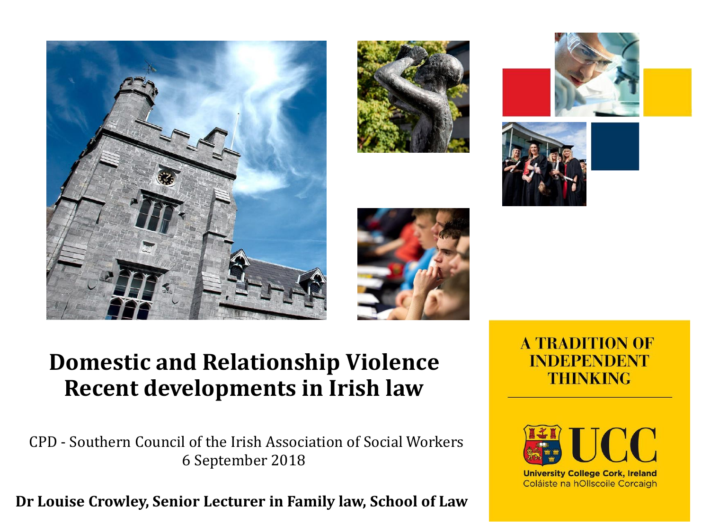









#### **Domestic and Relationship Violence Recent developments in Irish law**

CPD - Southern Council of the Irish Association of Social Workers 6 September 2018

**Dr Louise Crowley, Senior Lecturer in Family law, School of Law**

#### **A TRADITION OF INDEPENDENT THINKING**



**University College Cork, Ireland** Coláiste na hOllscoile Corcaigh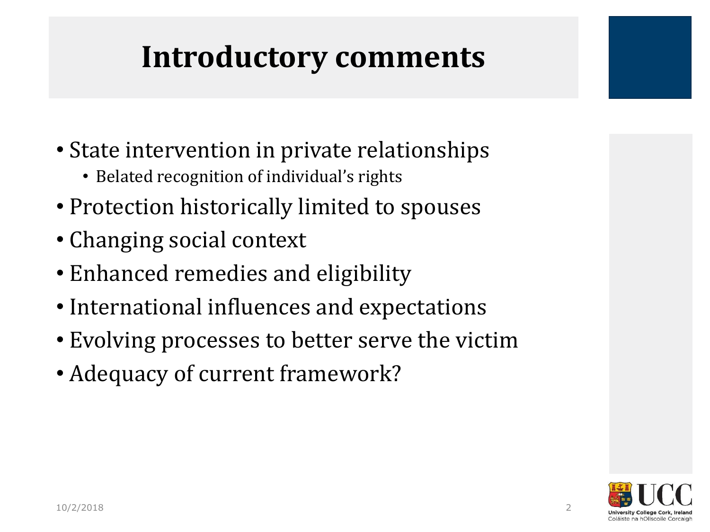### **Introductory comments**

- State intervention in private relationships
	- Belated recognition of individual's rights
- Protection historically limited to spouses
- Changing social context
- Enhanced remedies and eligibility
- International influences and expectations
- Evolving processes to better serve the victim
- Adequacy of current framework?

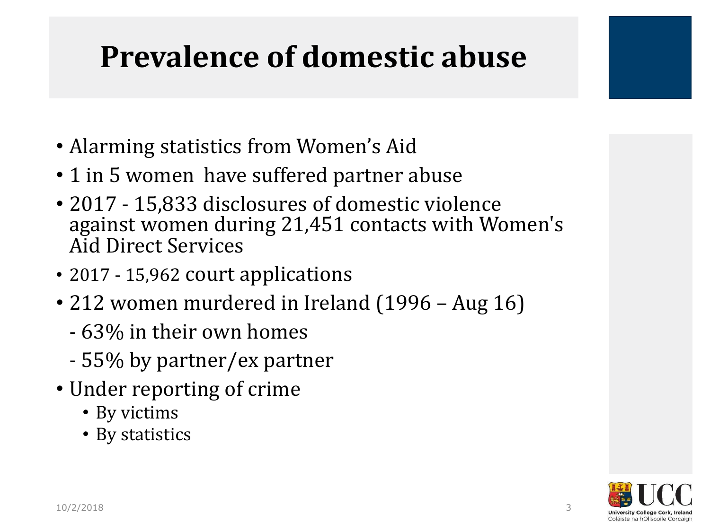### **Prevalence of domestic abuse**

- Alarming statistics from Women's Aid
- 1 in 5 women have suffered partner abuse
- 2017 15,833 disclosures of domestic violence against women during 21,451 contacts with Women's Aid Direct Services
- 2017 15,962 court applications
- 212 women murdered in Ireland (1996 Aug 16)
	- 63% in their own homes
	- 55% by partner/ex partner
- Under reporting of crime
	- By victims
	- By statistics

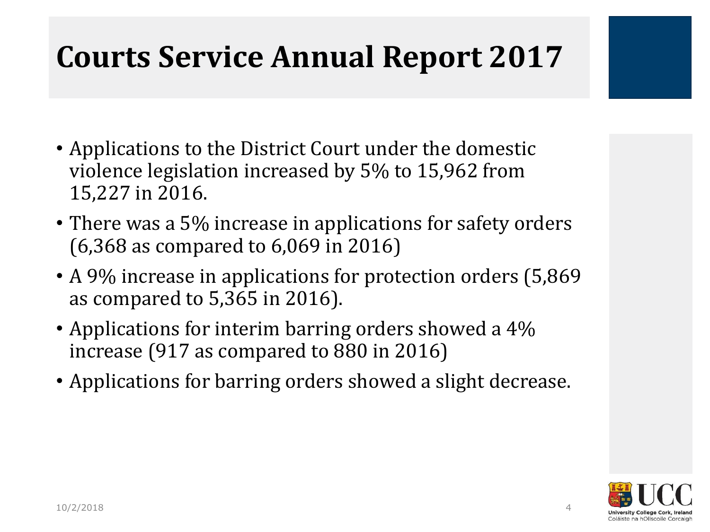### **Courts Service Annual Report 2017**

- Applications to the District Court under the domestic violence legislation increased by 5% to 15,962 from 15,227 in 2016.
- There was a 5% increase in applications for safety orders (6,368 as compared to 6,069 in 2016)
- A 9% increase in applications for protection orders (5,869) as compared to 5,365 in 2016).
- Applications for interim barring orders showed a 4% increase (917 as compared to 880 in 2016)
- Applications for barring orders showed a slight decrease.

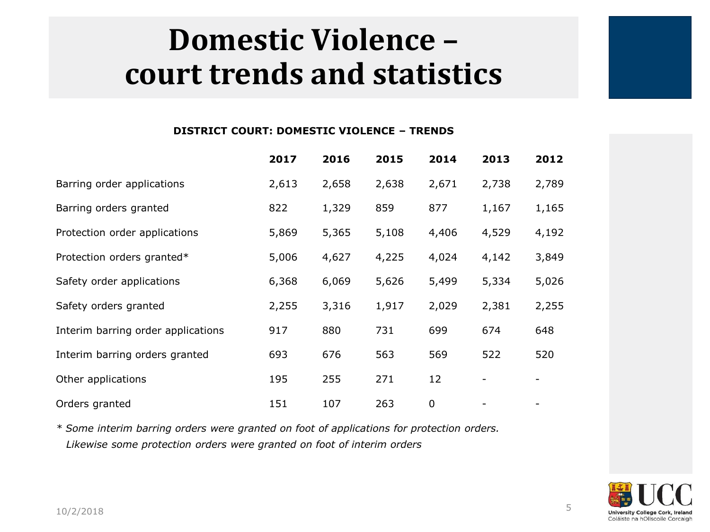### **Domestic Violence – court trends and statistics**

#### **DISTRICT COURT: DOMESTIC VIOLENCE – TRENDS**

|                                    | 2017  | 2016  | 2015  | 2014        | 2013  | 2012  |
|------------------------------------|-------|-------|-------|-------------|-------|-------|
| Barring order applications         | 2,613 | 2,658 | 2,638 | 2,671       | 2,738 | 2,789 |
| Barring orders granted             | 822   | 1,329 | 859   | 877         | 1,167 | 1,165 |
| Protection order applications      | 5,869 | 5,365 | 5,108 | 4,406       | 4,529 | 4,192 |
| Protection orders granted*         | 5,006 | 4,627 | 4,225 | 4,024       | 4,142 | 3,849 |
| Safety order applications          | 6,368 | 6,069 | 5,626 | 5,499       | 5,334 | 5,026 |
| Safety orders granted              | 2,255 | 3,316 | 1,917 | 2,029       | 2,381 | 2,255 |
| Interim barring order applications | 917   | 880   | 731   | 699         | 674   | 648   |
| Interim barring orders granted     | 693   | 676   | 563   | 569         | 522   | 520   |
| Other applications                 | 195   | 255   | 271   | 12          |       |       |
| Orders granted                     | 151   | 107   | 263   | $\mathbf 0$ |       |       |

*\* Some interim barring orders were granted on foot of applications for protection orders. Likewise some protection orders were granted on foot of interim orders* 

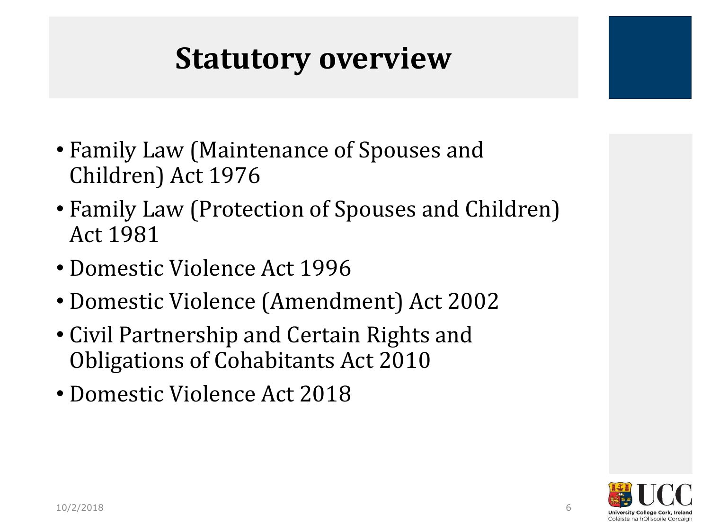### **Statutory overview**

- Family Law (Maintenance of Spouses and Children) Act 1976
- Family Law (Protection of Spouses and Children) Act 1981
- Domestic Violence Act 1996
- Domestic Violence (Amendment) Act 2002
- Civil Partnership and Certain Rights and Obligations of Cohabitants Act 2010
- Domestic Violence Act 2018

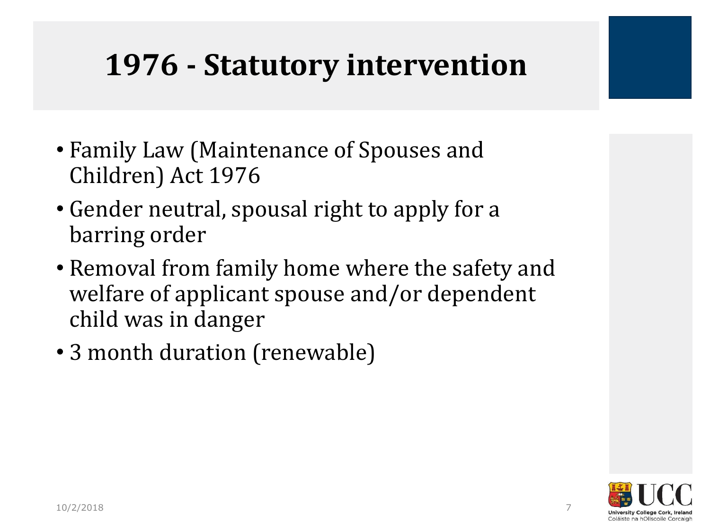### **1976 - Statutory intervention**

- Family Law (Maintenance of Spouses and Children) Act 1976
- Gender neutral, spousal right to apply for a barring order
- Removal from family home where the safety and welfare of applicant spouse and/or dependent child was in danger
- 3 month duration (renewable)

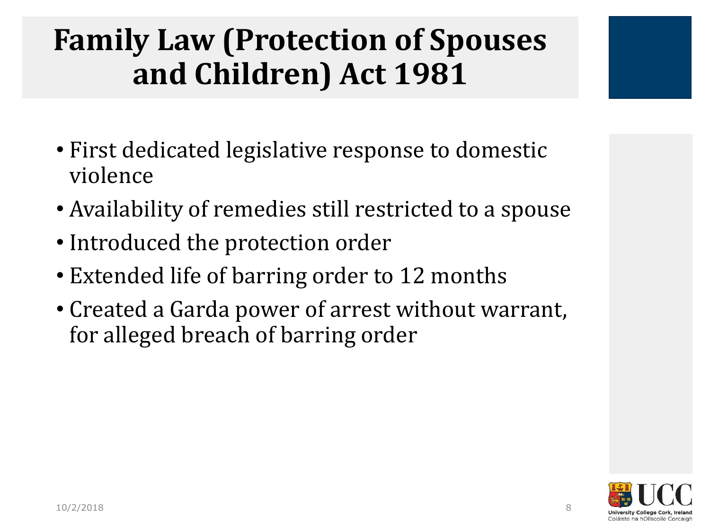### **Family Law (Protection of Spouses and Children) Act 1981**

- First dedicated legislative response to domestic violence
- Availability of remedies still restricted to a spouse
- Introduced the protection order
- Extended life of barring order to 12 months
- Created a Garda power of arrest without warrant, for alleged breach of barring order

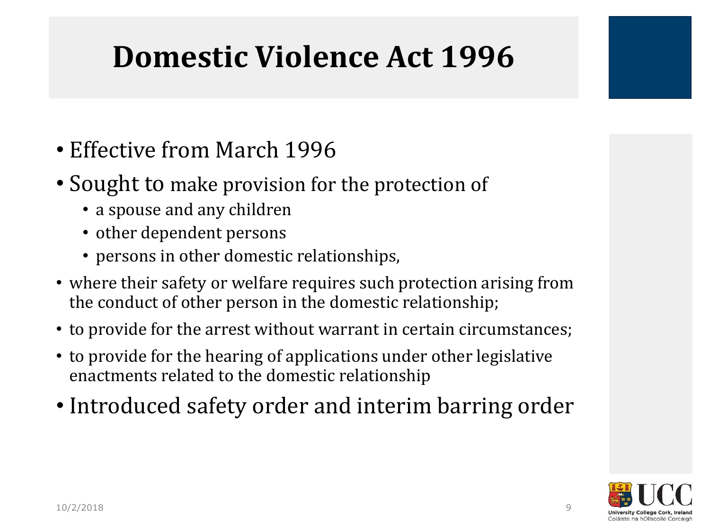### **Domestic Violence Act 1996**

- Effective from March 1996
- Sought to make provision for the protection of
	- a spouse and any children
	- other dependent persons
	- persons in other domestic relationships,
- where their safety or welfare requires such protection arising from the conduct of other person in the domestic relationship;
- to provide for the arrest without warrant in certain circumstances;
- to provide for the hearing of applications under other legislative enactments related to the domestic relationship
- Introduced safety order and interim barring order

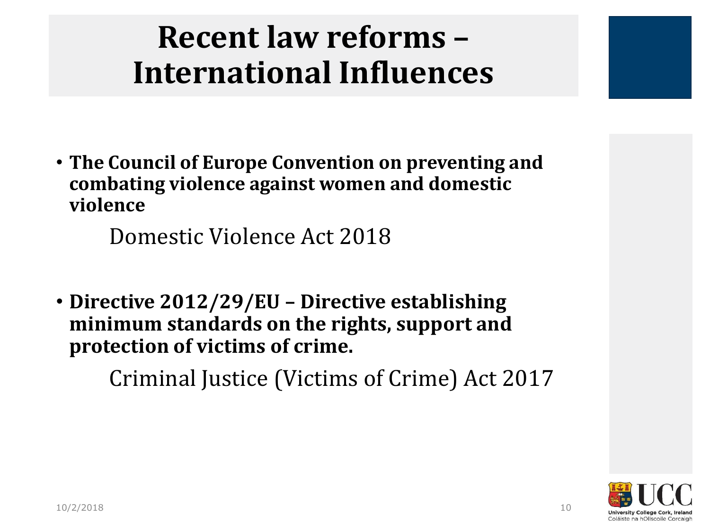### **Recent law reforms – International Influences**

• **The Council of Europe Convention on preventing and combating violence against women and domestic violence** 

Domestic Violence Act 2018

• **Directive 2012/29/EU – Directive establishing minimum standards on the rights, support and protection of victims of crime.**

Criminal Justice (Victims of Crime) Act 2017

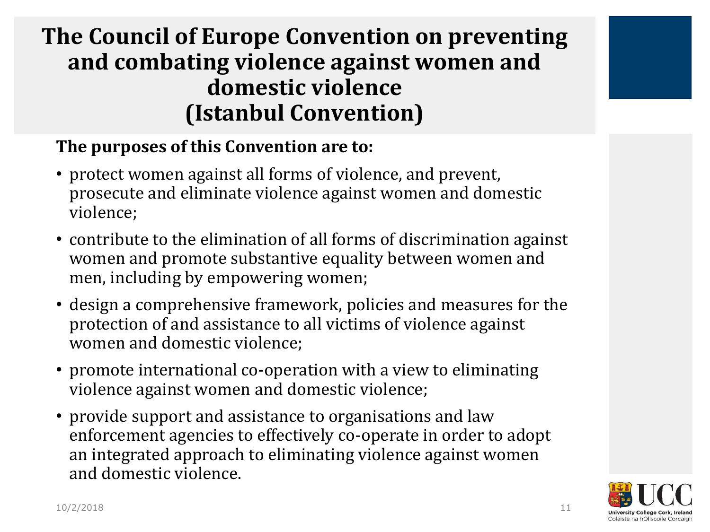#### **The Council of Europe Convention on preventing and combating violence against women and domestic violence (Istanbul Convention)**

#### **The purposes of this Convention are to:**

- protect women against all forms of violence, and prevent, prosecute and eliminate violence against women and domestic violence;
- contribute to the elimination of all forms of discrimination against women and promote substantive equality between women and men, including by empowering women;
- design a comprehensive framework, policies and measures for the protection of and assistance to all victims of violence against women and domestic violence;
- promote international co-operation with a view to eliminating violence against women and domestic violence;
- provide support and assistance to organisations and law enforcement agencies to effectively co-operate in order to adopt an integrated approach to eliminating violence against women and domestic violence.

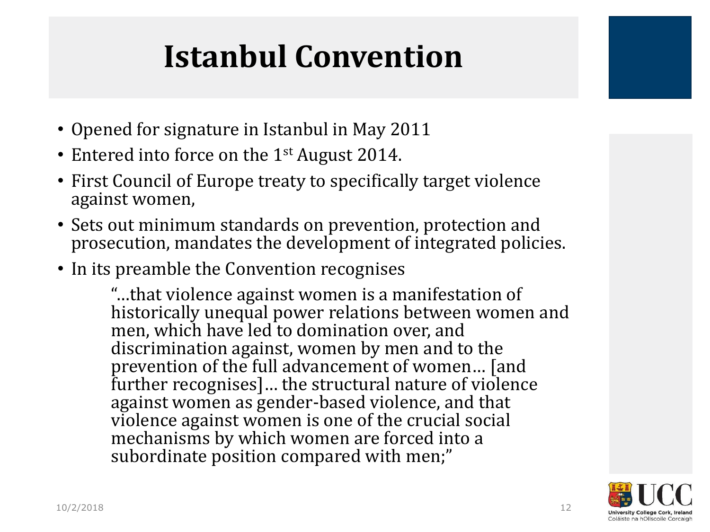# **Istanbul Convention**

- Opened for signature in Istanbul in May 2011
- Entered into force on the 1<sup>st</sup> August 2014.
- First Council of Europe treaty to specifically target violence against women,
- Sets out minimum standards on prevention, protection and prosecution, mandates the development of integrated policies.
- In its preamble the Convention recognises

"…that violence against women is a manifestation of historically unequal power relations between women and men, which have led to domination over, and discrimination against, women by men and to the prevention of the full advancement of women… [and further recognises]… the structural nature of violence against women as gender‐based violence, and that violence against women is one of the crucial social mechanisms by which women are forced into a subordinate position compared with men;"

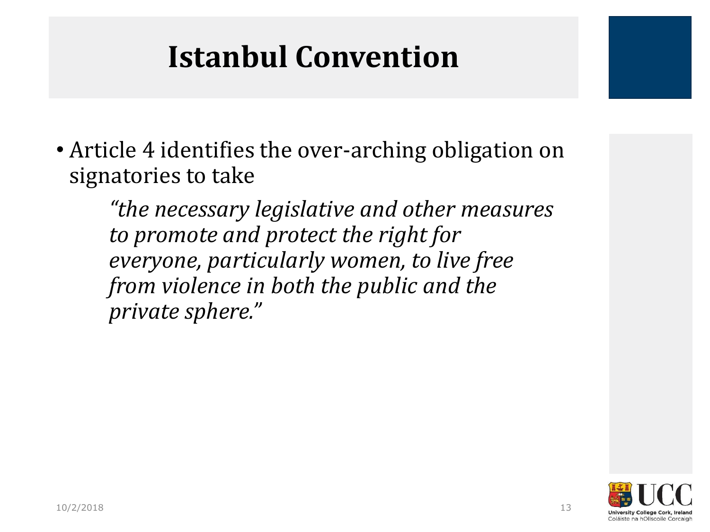### **Istanbul Convention**

• Article 4 identifies the over-arching obligation on signatories to take

*"the necessary legislative and other measures to promote and protect the right for everyone, particularly women, to live free from violence in both the public and the private sphere."*

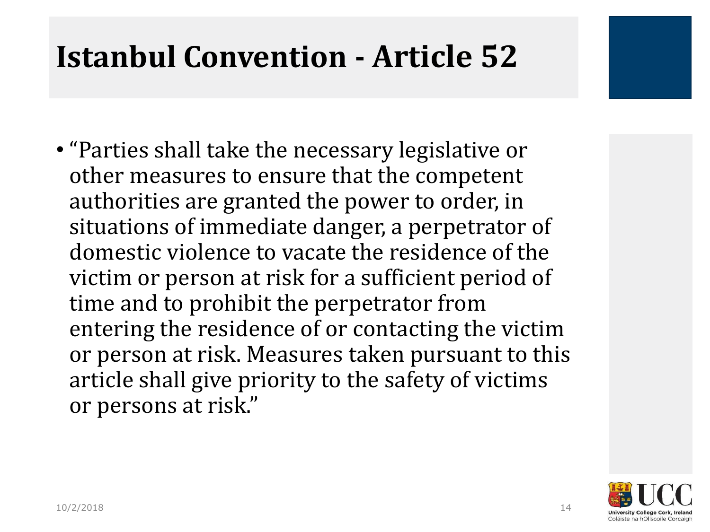### **Istanbul Convention - Article 52**

• "Parties shall take the necessary legislative or other measures to ensure that the competent authorities are granted the power to order, in situations of immediate danger, a perpetrator of domestic violence to vacate the residence of the victim or person at risk for a sufficient period of time and to prohibit the perpetrator from entering the residence of or contacting the victim or person at risk. Measures taken pursuant to this article shall give priority to the safety of victims or persons at risk."

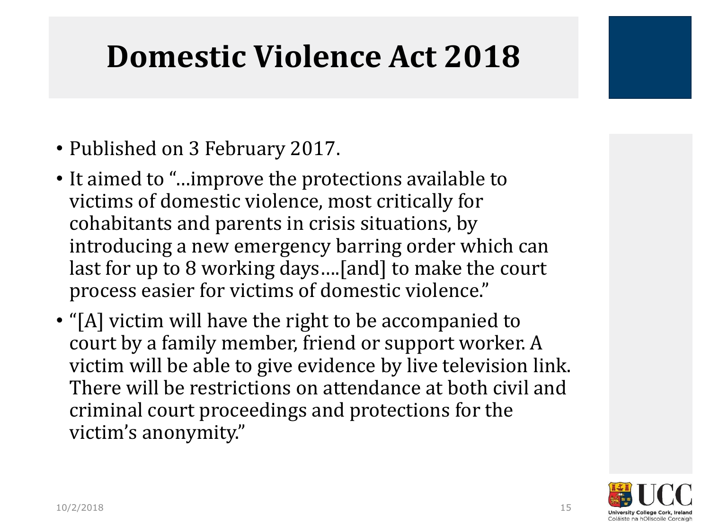### **Domestic Violence Act 2018**

- Published on 3 February 2017.
- It aimed to "…improve the protections available to victims of domestic violence, most critically for cohabitants and parents in crisis situations, by introducing a new emergency barring order which can last for up to 8 working days….[and] to make the court process easier for victims of domestic violence."
- "[A] victim will have the right to be accompanied to court by a family member, friend or support worker. A victim will be able to give evidence by live television link. There will be restrictions on attendance at both civil and criminal court proceedings and protections for the victim's anonymity."

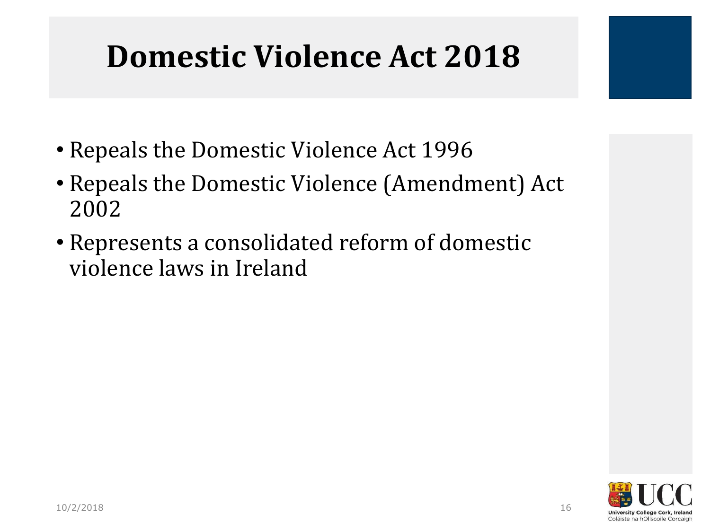### **Domestic Violence Act 2018**

- Repeals the Domestic Violence Act 1996
- Repeals the Domestic Violence (Amendment) Act 2002
- Represents a consolidated reform of domestic violence laws in Ireland

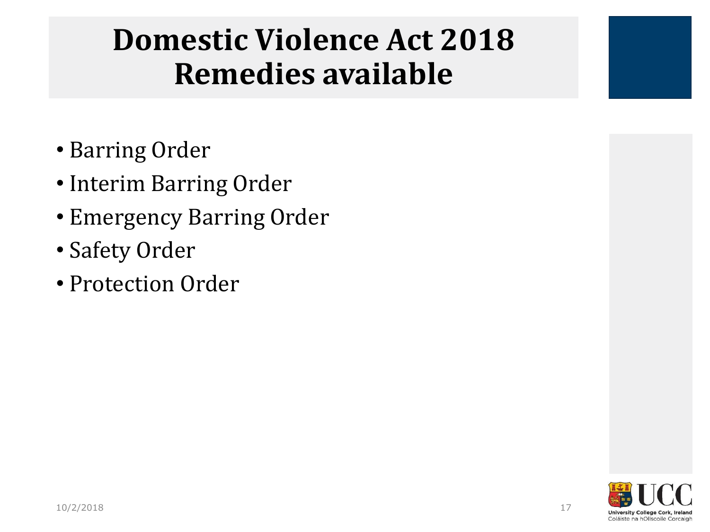### **Domestic Violence Act 2018 Remedies available**

- Barring Order
- Interim Barring Order
- Emergency Barring Order
- Safety Order
- Protection Order

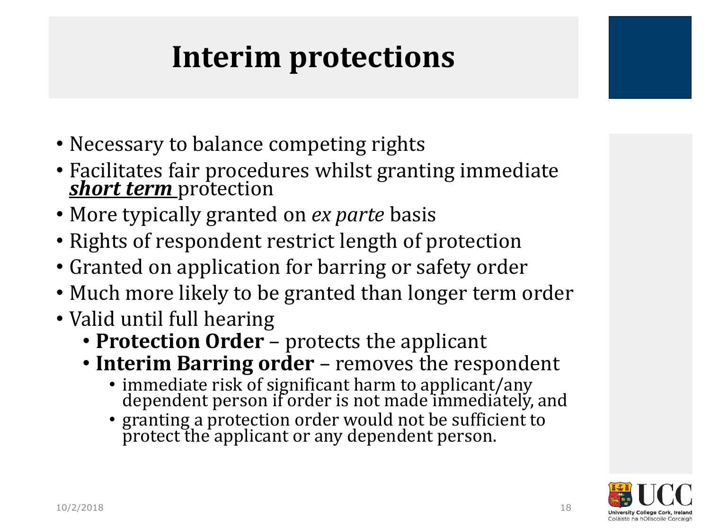### **Interim protections**

- Necessary to balance competing rights
- Facilitates fair procedures whilst granting immediate *short term* protection
- More typically granted on *ex parte* basis
- Rights of respondent restrict length of protection
- Granted on application for barring or safety order
- Much more likely to be granted than longer term order
- Valid until full hearing
	- **Protection Order**  protects the applicant
	- **Interim Barring order**  removes the respondent
		- immediate risk of significant harm to applicant/any dependent person if order is not made immediately, and
		- granting a protection order would not be sufficient to protect the applicant or any dependent person.

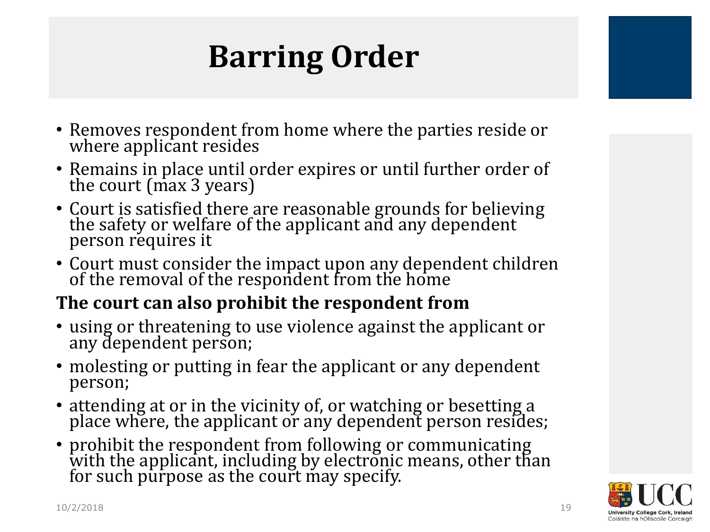# **Barring Order**

- Removes respondent from home where the parties reside or where applicant resides
- Remains in place until order expires or until further order of the court (max 3 years)
- Court is satisfied there are reasonable grounds for believing the safety or welfare of the applicant and any dependent person requires it
- Court must consider the impact upon any dependent children of the removal of the respondent from the home

#### **The court can also prohibit the respondent from**

- using or threatening to use violence against the applicant or any dependent person;
- molesting or putting in fear the applicant or any dependent person;
- attending at or in the vicinity of, or watching or besetting a place where, the applicant or any dependent person resides;
- prohibit the respondent from following or communicating with the applicant, including by electronic means, other than for such purpose as the court may specify.

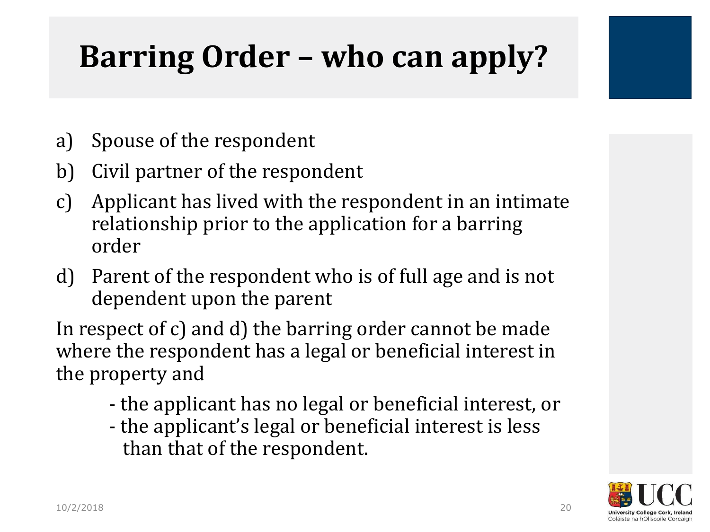# **Barring Order – who can apply?**

- a) Spouse of the respondent
- b) Civil partner of the respondent
- c) Applicant has lived with the respondent in an intimate relationship prior to the application for a barring order
- d) Parent of the respondent who is of full age and is not dependent upon the parent

In respect of c) and d) the barring order cannot be made where the respondent has a legal or beneficial interest in the property and

- the applicant has no legal or beneficial interest, or
- the applicant's legal or beneficial interest is less than that of the respondent.

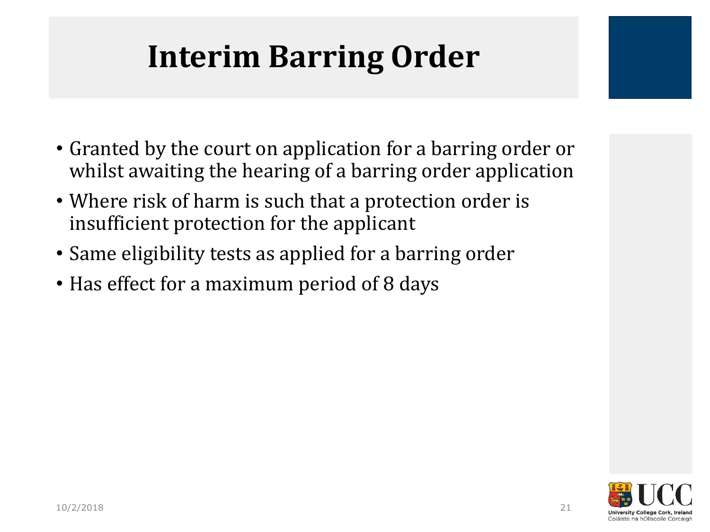# **Interim Barring Order**

- Granted by the court on application for a barring order or whilst awaiting the hearing of a barring order application
- Where risk of harm is such that a protection order is insufficient protection for the applicant
- Same eligibility tests as applied for a barring order
- Has effect for a maximum period of 8 days

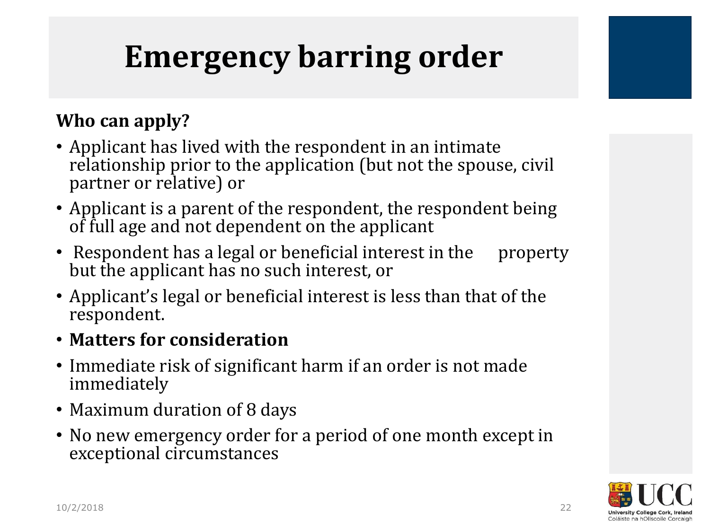# **Emergency barring order**

#### **Who can apply?**

- Applicant has lived with the respondent in an intimate relationship prior to the application (but not the spouse, civil partner or relative) or
- Applicant is a parent of the respondent, the respondent being of full age and not dependent on the applicant
- Respondent has a legal or beneficial interest in the property but the applicant has no such interest, or
- Applicant's legal or beneficial interest is less than that of the respondent.

#### • **Matters for consideration**

- Immediate risk of significant harm if an order is not made immediately
- Maximum duration of 8 days
- No new emergency order for a period of one month except in exceptional circumstances

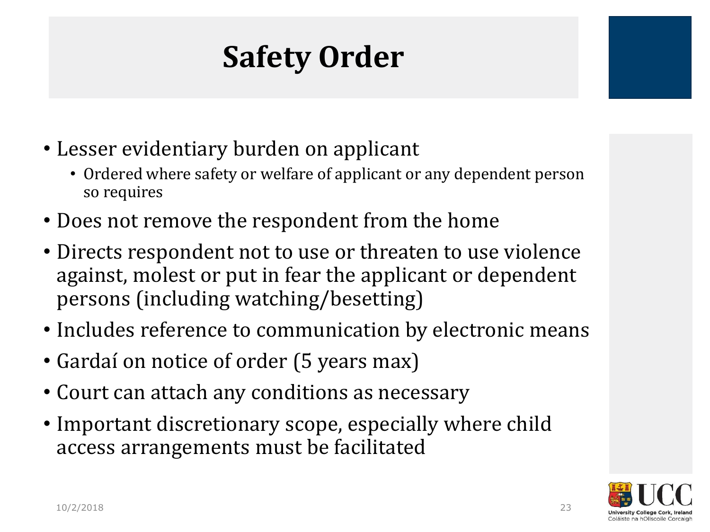# **Safety Order**

- Lesser evidentiary burden on applicant
	- Ordered where safety or welfare of applicant or any dependent person so requires
- Does not remove the respondent from the home
- Directs respondent not to use or threaten to use violence against, molest or put in fear the applicant or dependent persons (including watching/besetting)
- Includes reference to communication by electronic means
- Gardaí on notice of order (5 years max)
- Court can attach any conditions as necessary
- Important discretionary scope, especially where child access arrangements must be facilitated

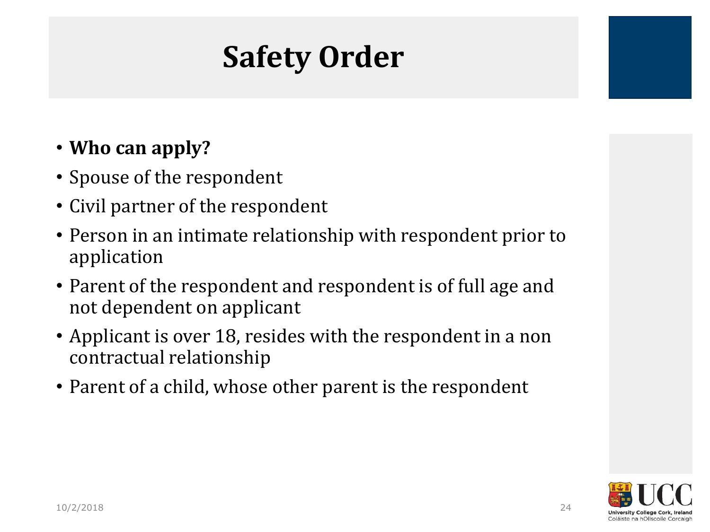### **Safety Order**

#### • **Who can apply?**

- Spouse of the respondent
- Civil partner of the respondent
- Person in an intimate relationship with respondent prior to application
- Parent of the respondent and respondent is of full age and not dependent on applicant
- Applicant is over 18, resides with the respondent in a non contractual relationship
- Parent of a child, whose other parent is the respondent

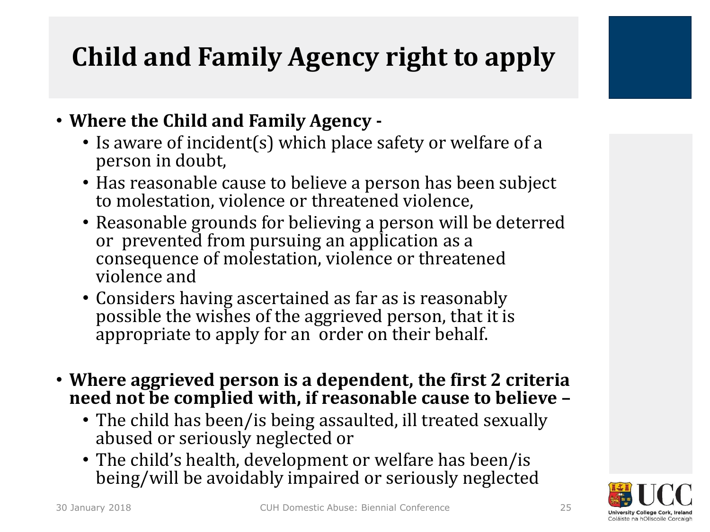### **Child and Family Agency right to apply**



- Is aware of incident(s) which place safety or welfare of a person in doubt,
- Has reasonable cause to believe a person has been subject to molestation, violence or threatened violence,
- Reasonable grounds for believing a person will be deterred or prevented from pursuing an application as a consequence of molestation, violence or threatened violence and
- Considers having ascertained as far as is reasonably possible the wishes of the aggrieved person, that it is appropriate to apply for an order on their behalf.
- **Where aggrieved person is a dependent, the first 2 criteria need not be complied with, if reasonable cause to believe –**
	- The child has been/is being assaulted, ill treated sexually abused or seriously neglected or
	- The child's health, development or welfare has been/is being/will be avoidably impaired or seriously neglected

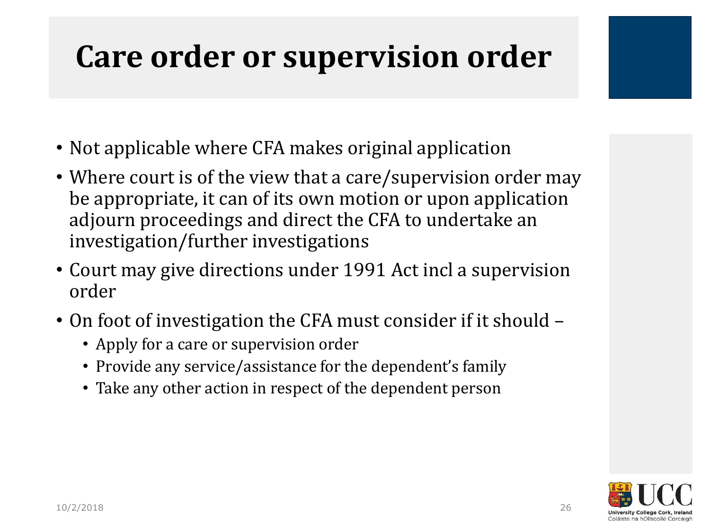### **Care order or supervision order**

- Not applicable where CFA makes original application
- Where court is of the view that a care/supervision order may be appropriate, it can of its own motion or upon application adjourn proceedings and direct the CFA to undertake an investigation/further investigations
- Court may give directions under 1991 Act incl a supervision order
- On foot of investigation the CFA must consider if it should
	- Apply for a care or supervision order
	- Provide any service/assistance for the dependent's family
	- Take any other action in respect of the dependent person

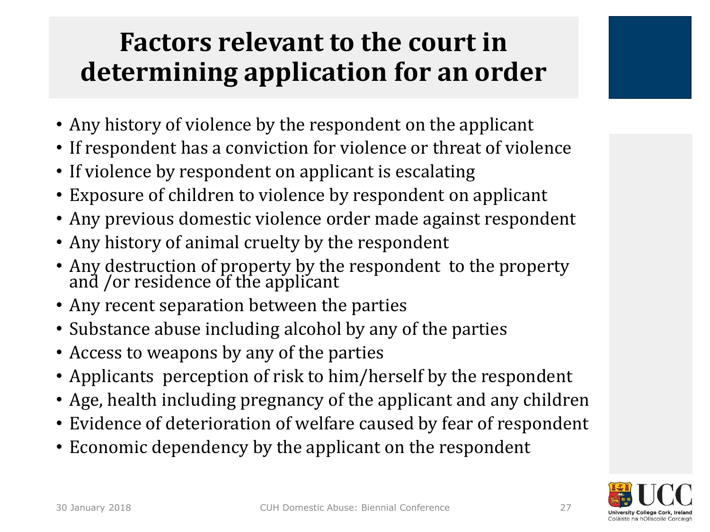### **Factors relevant to the court in determining application for an order**

- Any history of violence by the respondent on the applicant
- If respondent has a conviction for violence or threat of violence
- If violence by respondent on applicant is escalating
- Exposure of children to violence by respondent on applicant
- Any previous domestic violence order made against respondent
- Any history of animal cruelty by the respondent
- Any destruction of property by the respondent to the property and /or residence of the applicant
- Any recent separation between the parties
- Substance abuse including alcohol by any of the parties
- Access to weapons by any of the parties
- Applicants perception of risk to him/herself by the respondent
- Age, health including pregnancy of the applicant and any children
- Evidence of deterioration of welfare caused by fear of respondent
- Economic dependency by the applicant on the respondent

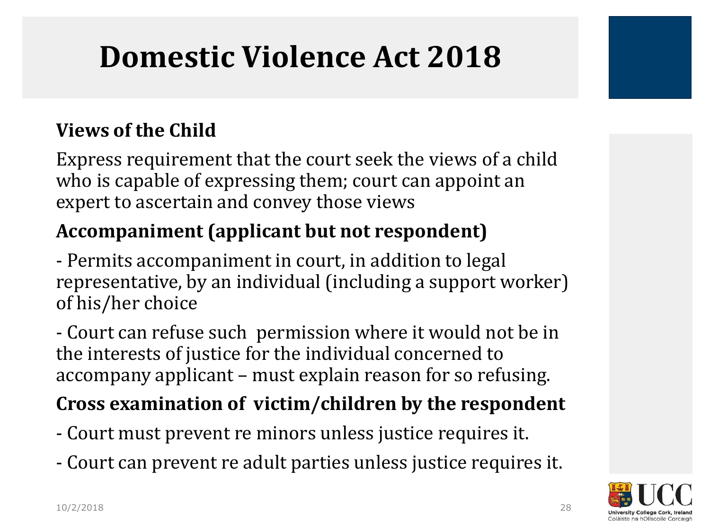### **Domestic Violence Act 2018**

#### **Views of the Child**

Express requirement that the court seek the views of a child who is capable of expressing them; court can appoint an expert to ascertain and convey those views

### **Accompaniment (applicant but not respondent)**

- Permits accompaniment in court, in addition to legal representative, by an individual (including a support worker) of his/her choice

- Court can refuse such permission where it would not be in the interests of justice for the individual concerned to accompany applicant – must explain reason for so refusing.

#### **Cross examination of victim/children by the respondent**

- Court must prevent re minors unless justice requires it.
- Court can prevent re adult parties unless justice requires it.

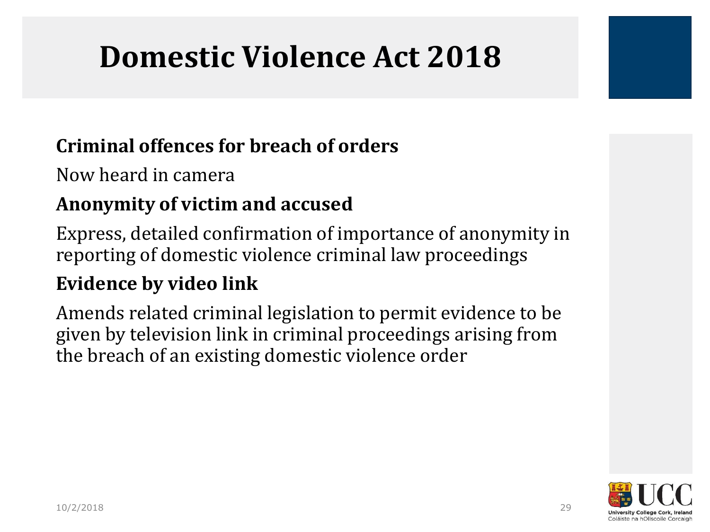### **Domestic Violence Act 2018**

#### **Criminal offences for breach of orders**

Now heard in camera

#### **Anonymity of victim and accused**

Express, detailed confirmation of importance of anonymity in reporting of domestic violence criminal law proceedings

#### **Evidence by video link**

Amends related criminal legislation to permit evidence to be given by television link in criminal proceedings arising from the breach of an existing domestic violence order

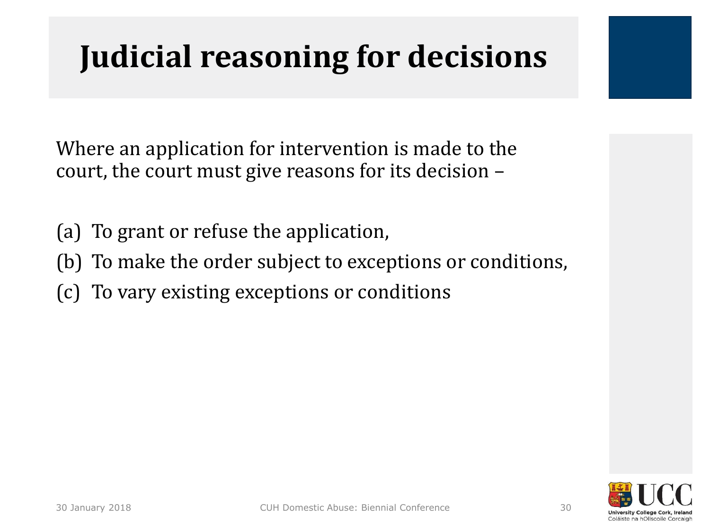# **Judicial reasoning for decisions**

Where an application for intervention is made to the court, the court must give reasons for its decision –

- (a) To grant or refuse the application,
- (b) To make the order subject to exceptions or conditions,
- (c) To vary existing exceptions or conditions

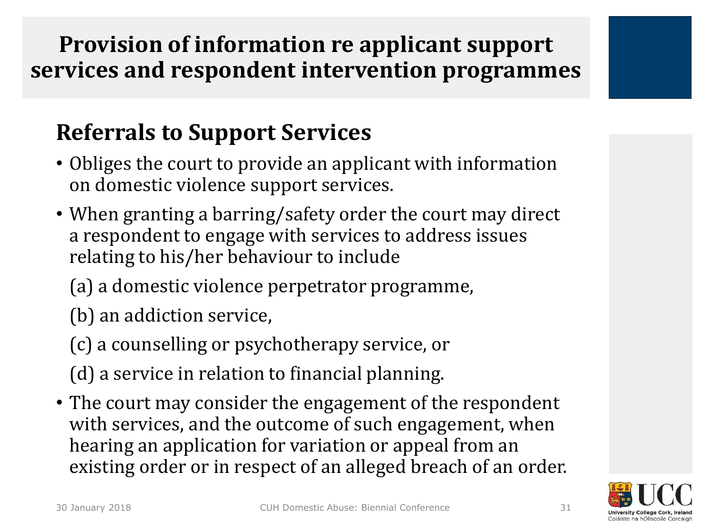#### **Provision of information re applicant support services and respondent intervention programmes**

### **Referrals to Support Services**

- Obliges the court to provide an applicant with information on domestic violence support services.
- When granting a barring/safety order the court may direct a respondent to engage with services to address issues relating to his/her behaviour to include
	- (a) a domestic violence perpetrator programme,
	- (b) an addiction service,
	- (c) a counselling or psychotherapy service, or
	- (d) a service in relation to financial planning.
- The court may consider the engagement of the respondent with services, and the outcome of such engagement, when hearing an application for variation or appeal from an existing order or in respect of an alleged breach of an order.

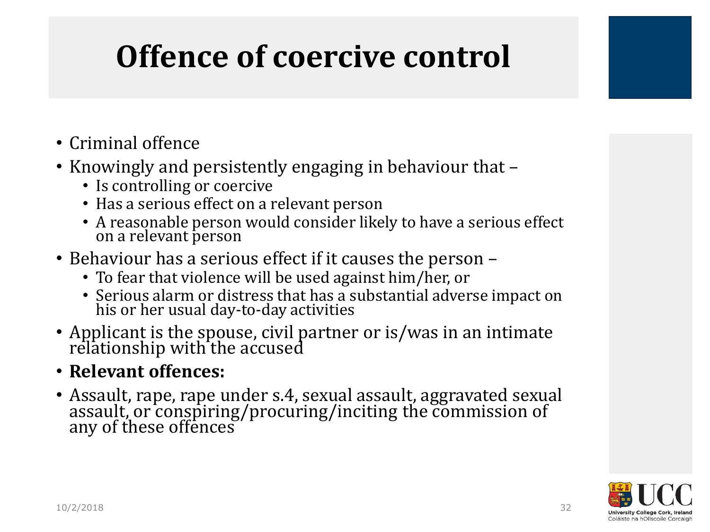# **Offence of coercive control**

- Criminal offence
- Knowingly and persistently engaging in behaviour that
	- Is controlling or coercive
	- Has a serious effect on a relevant person
	- A reasonable person would consider likely to have a serious effect on a relevant person
- Behaviour has a serious effect if it causes the person
	- To fear that violence will be used against him/her, or
	- Serious alarm or distress that has a substantial adverse impact on his or her usual day-to-day activities
- Applicant is the spouse, civil partner or is/was in an intimate relationship with the accused
- **Relevant offences:**
- Assault, rape, rape under s.4, sexual assault, aggravated sexual assault, or conspiring/procuring/inciting the commission of any of these offences

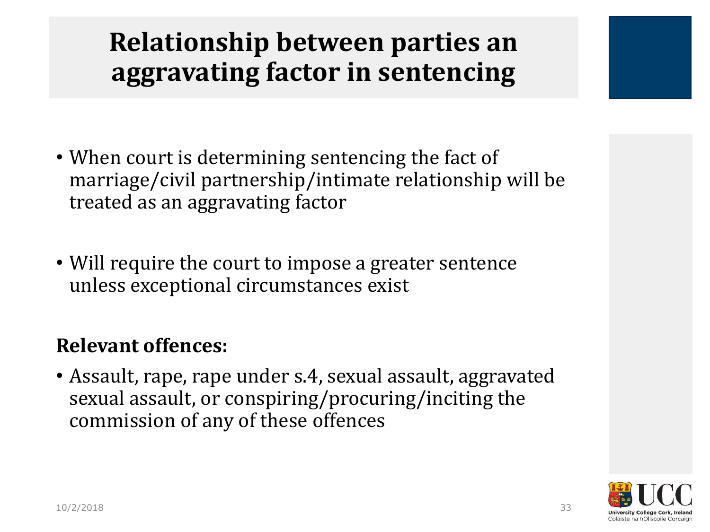### **Relationship between parties an aggravating factor in sentencing**

- When court is determining sentencing the fact of marriage/civil partnership/intimate relationship will be treated as an aggravating factor
- Will require the court to impose a greater sentence unless exceptional circumstances exist

#### **Relevant offences:**

• Assault, rape, rape under s.4, sexual assault, aggravated sexual assault, or conspiring/procuring/inciting the commission of any of these offences

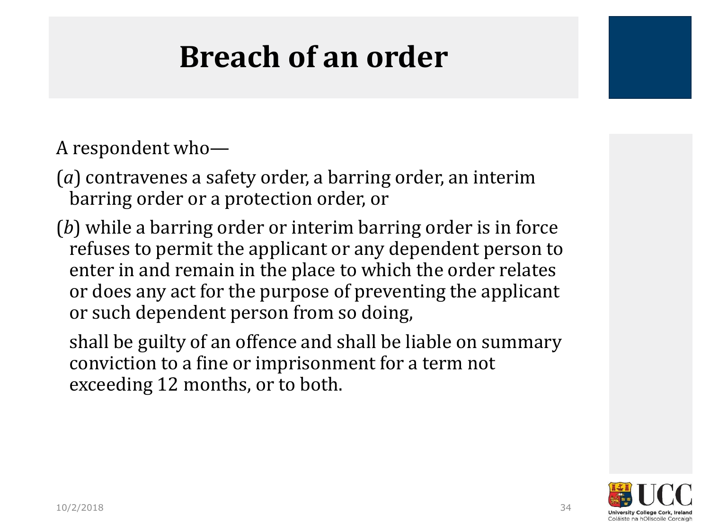### **Breach of an order**

A respondent who—

(*a*) contravenes a safety order, a barring order, an interim barring order or a protection order, or

(*b*) while a barring order or interim barring order is in force refuses to permit the applicant or any dependent person to enter in and remain in the place to which the order relates or does any act for the purpose of preventing the applicant or such dependent person from so doing,

shall be guilty of an offence and shall be liable on summary conviction to a fine or imprisonment for a term not exceeding 12 months, or to both.

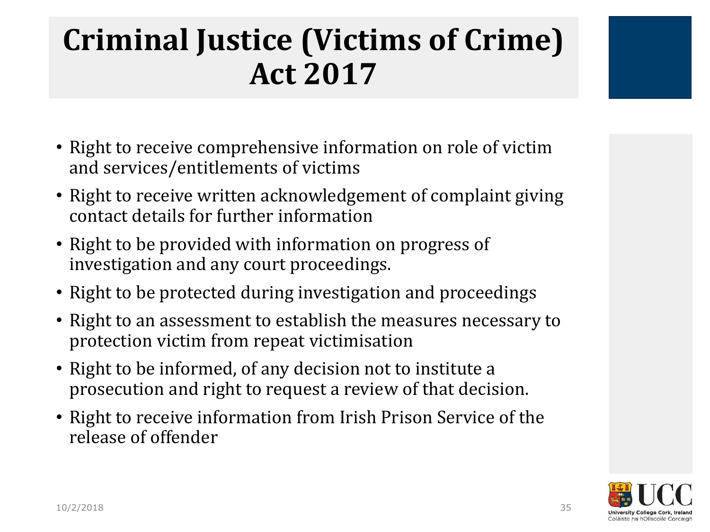### **Criminal Justice (Victims of Crime) Act 2017**

- Right to receive comprehensive information on role of victim and services/entitlements of victims
- Right to receive written acknowledgement of complaint giving contact details for further information
- Right to be provided with information on progress of investigation and any court proceedings.
- Right to be protected during investigation and proceedings
- Right to an assessment to establish the measures necessary to protection victim from repeat victimisation
- Right to be informed, of any decision not to institute a prosecution and right to request a review of that decision.
- Right to receive information from Irish Prison Service of the release of offender

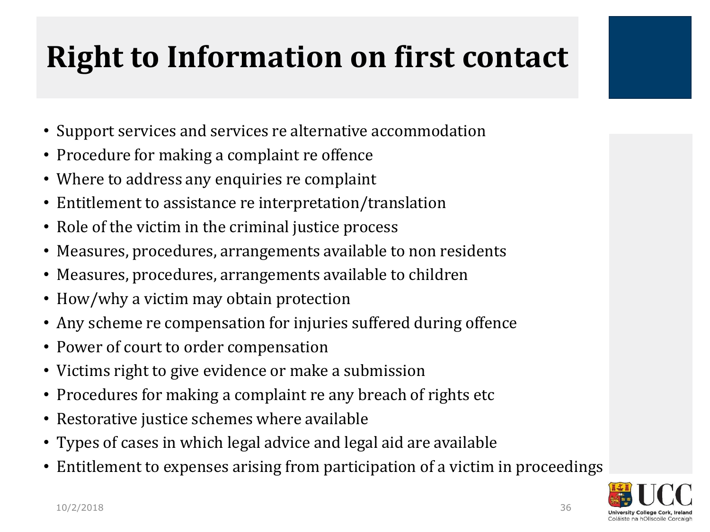# **Right to Information on first contact**

- Support services and services re alternative accommodation
- Procedure for making a complaint re offence
- Where to address any enquiries re complaint
- Entitlement to assistance re interpretation/translation
- Role of the victim in the criminal justice process
- Measures, procedures, arrangements available to non residents
- Measures, procedures, arrangements available to children
- How/why a victim may obtain protection
- Any scheme re compensation for injuries suffered during offence
- Power of court to order compensation
- Victims right to give evidence or make a submission
- Procedures for making a complaint re any breach of rights etc
- Restorative justice schemes where available
- Types of cases in which legal advice and legal aid are available
- Entitlement to expenses arising from participation of a victim in proceedings

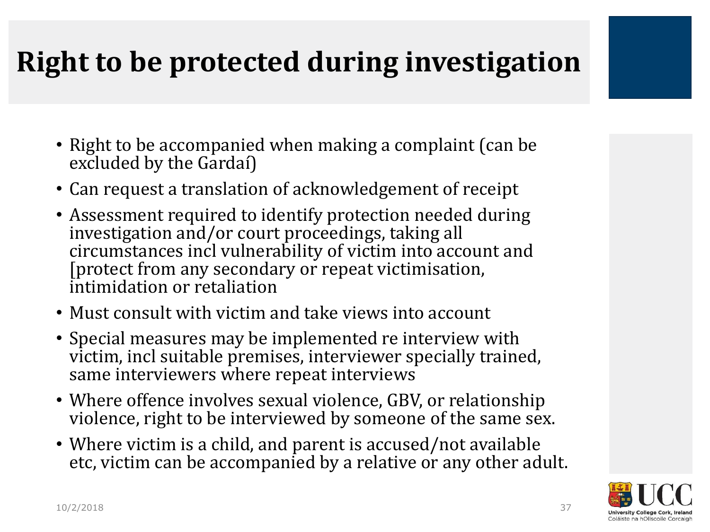### **Right to be protected during investigation**

- Right to be accompanied when making a complaint (can be excluded by the Gardaí)
- Can request a translation of acknowledgement of receipt
- Assessment required to identify protection needed during investigation and/or court proceedings, taking all circumstances incl vulnerability of victim into account and [protect from any secondary or repeat victimisation, intimidation or retaliation
- Must consult with victim and take views into account
- Special measures may be implemented re interview with victim, incl suitable premises, interviewer specially trained, same interviewers where repeat interviews
- Where offence involves sexual violence, GBV, or relationship violence, right to be interviewed by someone of the same sex.
- Where victim is a child, and parent is accused/not available etc, victim can be accompanied by a relative or any other adult.

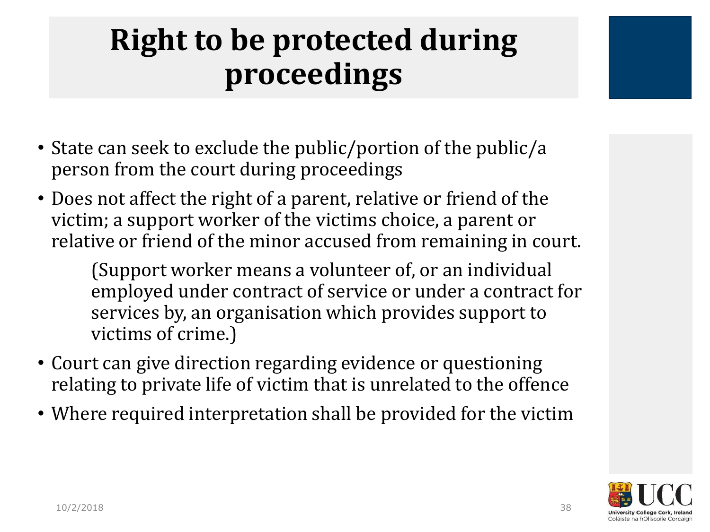## **Right to be protected during proceedings**

- State can seek to exclude the public/portion of the public/a person from the court during proceedings
- Does not affect the right of a parent, relative or friend of the victim; a support worker of the victims choice, a parent or relative or friend of the minor accused from remaining in court.

(Support worker means a volunteer of, or an individual employed under contract of service or under a contract for services by, an organisation which provides support to victims of crime.)

- Court can give direction regarding evidence or questioning relating to private life of victim that is unrelated to the offence
- Where required interpretation shall be provided for the victim